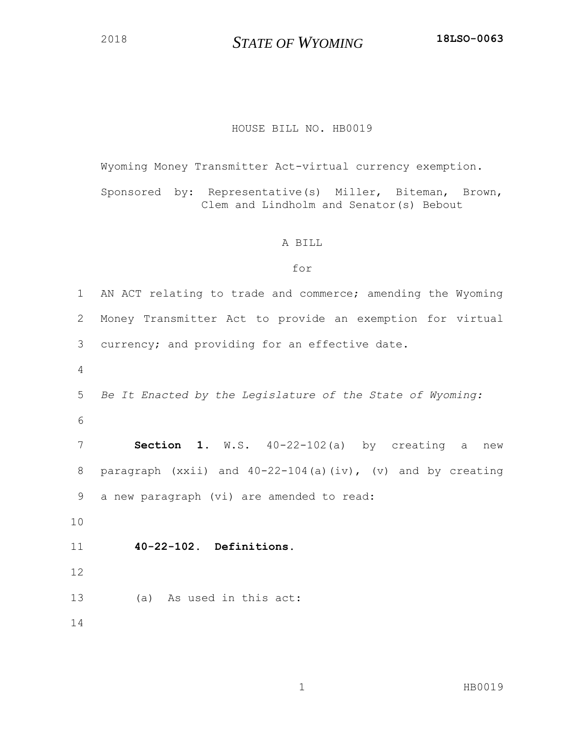## *STATE OF WYOMING* **18LSO-0063**

## HOUSE BILL NO. HB0019

Wyoming Money Transmitter Act-virtual currency exemption.

Sponsored by: Representative(s) Miller, Biteman, Brown, Clem and Lindholm and Senator(s) Bebout

## A BILL

## for

 AN ACT relating to trade and commerce; amending the Wyoming Money Transmitter Act to provide an exemption for virtual currency; and providing for an effective date. *Be It Enacted by the Legislature of the State of Wyoming:* **Section 1.** W.S. 40-22-102(a) by creating a new paragraph (xxii) and 40-22-104(a)(iv), (v) and by creating a new paragraph (vi) are amended to read: **40-22-102. Definitions.** (a) As used in this act: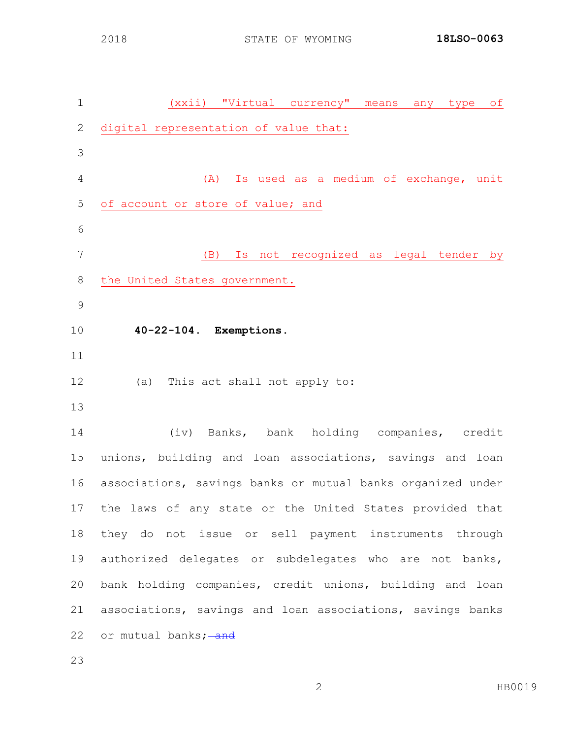(xxii) "Virtual currency" means any type of digital representation of value that: (A) Is used as a medium of exchange, unit of account or store of value; and (B) Is not recognized as legal tender by 8 the United States government. **40-22-104. Exemptions.** (a) This act shall not apply to: (iv) Banks, bank holding companies, credit unions, building and loan associations, savings and loan associations, savings banks or mutual banks organized under the laws of any state or the United States provided that they do not issue or sell payment instruments through authorized delegates or subdelegates who are not banks, bank holding companies, credit unions, building and loan associations, savings and loan associations, savings banks 22 or mutual banks; and